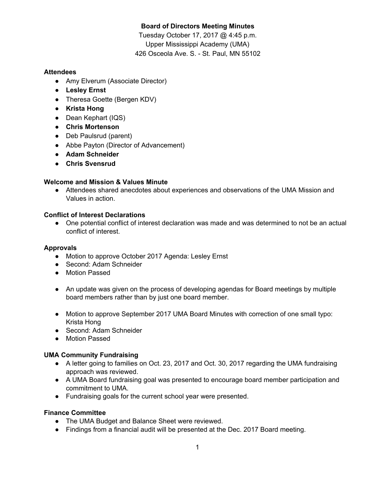# **Board of Directors Meeting Minutes**

Tuesday October 17, 2017 @ 4:45 p.m. Upper Mississippi Academy (UMA) 426 Osceola Ave. S. - St. Paul, MN 55102

## **Attendees**

- Amy Elverum (Associate Director)
- **● Lesley Ernst**
- **●** Theresa Goette (Bergen KDV)
- **● Krista Hong**
- **●** Dean Kephart (IQS)
- **● Chris Mortenson**
- **●** Deb Paulsrud (parent)
- Abbe Payton (Director of Advancement)
- **● Adam Schneider**
- **● Chris Svensrud**

## **Welcome and Mission & Values Minute**

• Attendees shared anecdotes about experiences and observations of the UMA Mission and Values in action.

#### **Conflict of Interest Declarations**

● One potential conflict of interest declaration was made and was determined to not be an actual conflict of interest.

## **Approvals**

- Motion to approve October 2017 Agenda: Lesley Ernst
- Second: Adam Schneider
- Motion Passed
- An update was given on the process of developing agendas for Board meetings by multiple board members rather than by just one board member.
- Motion to approve September 2017 UMA Board Minutes with correction of one small typo: Krista Hong
- Second: Adam Schneider
- Motion Passed

## **UMA Community Fundraising**

- A letter going to families on Oct. 23, 2017 and Oct. 30, 2017 regarding the UMA fundraising approach was reviewed.
- A UMA Board fundraising goal was presented to encourage board member participation and commitment to UMA.
- Fundraising goals for the current school year were presented.

## **Finance Committee**

- The UMA Budget and Balance Sheet were reviewed.
- Findings from a financial audit will be presented at the Dec. 2017 Board meeting.